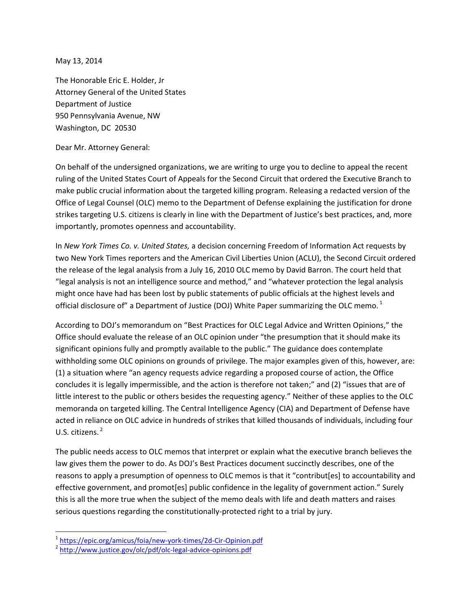May 13, 2014

The Honorable Eric E. Holder, Jr Attorney General of the United States Department of Justice 950 Pennsylvania Avenue, NW Washington, DC 20530

Dear Mr. Attorney General:

On behalf of the undersigned organizations, we are writing to urge you to decline to appeal the recent ruling of the United States Court of Appeals for the Second Circuit that ordered the Executive Branch to make public crucial information about the targeted killing program. Releasing a redacted version of the Office of Legal Counsel (OLC) memo to the Department of Defense explaining the justification for drone strikes targeting U.S. citizens is clearly in line with the Department of Justice's best practices, and, more importantly, promotes openness and accountability.

In *New York Times Co. v. United States,* a decision concerning Freedom of Information Act requests by two New York Times reporters and the American Civil Liberties Union (ACLU), the Second Circuit ordered the release of the legal analysis from a July 16, 2010 OLC memo by David Barron. The court held that "legal analysis is not an intelligence source and method," and "whatever protection the legal analysis might once have had has been lost by public statements of public officials at the highest levels and official disclosure of" a Department of Justice (DOJ) White Paper summarizing the OLC memo.<sup>1</sup>

According to DOJ's memorandum on "Best Practices for OLC Legal Advice and Written Opinions," the Office should evaluate the release of an OLC opinion under "the presumption that it should make its significant opinions fully and promptly available to the public." The guidance does contemplate withholding some OLC opinions on grounds of privilege. The major examples given of this, however, are: (1) a situation where "an agency requests advice regarding a proposed course of action, the Office concludes it is legally impermissible, and the action is therefore not taken;" and (2) "issues that are of little interest to the public or others besides the requesting agency." Neither of these applies to the OLC memoranda on targeted killing. The Central Intelligence Agency (CIA) and Department of Defense have acted in reliance on OLC advice in hundreds of strikes that killed thousands of individuals, including four U.S. citizens. <sup>2</sup>

The public needs access to OLC memos that interpret or explain what the executive branch believes the law gives them the power to do. As DOJ's Best Practices document succinctly describes, one of the reasons to apply a presumption of openness to OLC memos is that it "contribut[es] to accountability and effective government, and promot[es] public confidence in the legality of government action." Surely this is all the more true when the subject of the memo deals with life and death matters and raises serious questions regarding the constitutionally-protected right to a trial by jury.

l

<sup>&</sup>lt;sup>1</sup> <https://epic.org/amicus/foia/new-york-times/2d-Cir-Opinion.pdf>

<sup>&</sup>lt;sup>2</sup> <http://www.justice.gov/olc/pdf/olc-legal-advice-opinions.pdf>